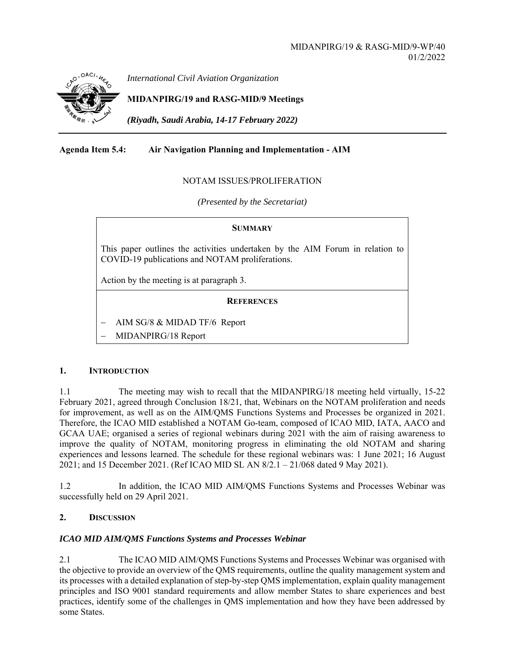

*International Civil Aviation Organization*

# **MIDANPIRG/19 and RASG-MID/9 Meetings**

*(Riyadh, Saudi Arabia, 14-17 February 2022)* 

## **Agenda Item 5.4: Air Navigation Planning and Implementation - AIM**

#### NOTAM ISSUES/PROLIFERATION

*(Presented by the Secretariat)* 

#### **SUMMARY**

This paper outlines the activities undertaken by the AIM Forum in relation to COVID-19 publications and NOTAM proliferations.

Action by the meeting is at paragraph 3.

#### **REFERENCES**

- AIM SG/8 & MIDAD TF/6 Report
- MIDANPIRG/18 Report

#### **1. INTRODUCTION**

1.1 The meeting may wish to recall that the MIDANPIRG/18 meeting held virtually, 15-22 February 2021, agreed through Conclusion 18/21, that, Webinars on the NOTAM proliferation and needs for improvement, as well as on the AIM/QMS Functions Systems and Processes be organized in 2021. Therefore, the ICAO MID established a NOTAM Go-team, composed of ICAO MID, IATA, AACO and GCAA UAE; organised a series of regional webinars during 2021 with the aim of raising awareness to improve the quality of NOTAM, monitoring progress in eliminating the old NOTAM and sharing experiences and lessons learned. The schedule for these regional webinars was: 1 June 2021; 16 August 2021; and 15 December 2021. (Ref ICAO MID SL AN 8/2.1 – 21/068 dated 9 May 2021).

1.2 In addition, the ICAO MID AIM/QMS Functions Systems and Processes Webinar was successfully held on 29 April 2021.

## **2. DISCUSSION**

#### *ICAO MID AIM/QMS Functions Systems and Processes Webinar*

2.1 The ICAO MID AIM/QMS Functions Systems and Processes Webinar was organised with the objective to provide an overview of the QMS requirements, outline the quality management system and its processes with a detailed explanation of step-by-step QMS implementation, explain quality management principles and ISO 9001 standard requirements and allow member States to share experiences and best practices, identify some of the challenges in QMS implementation and how they have been addressed by some States.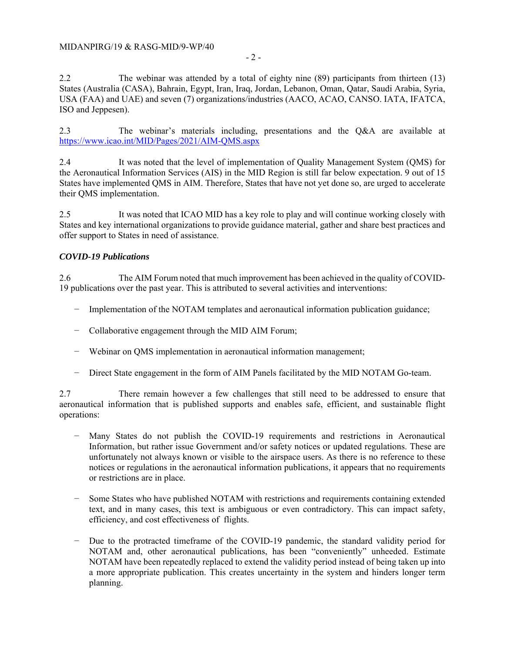2.2 The webinar was attended by a total of eighty nine (89) participants from thirteen (13) States (Australia (CASA), Bahrain, Egypt, Iran, Iraq, Jordan, Lebanon, Oman, Qatar, Saudi Arabia, Syria, USA (FAA) and UAE) and seven (7) organizations/industries (AACO, ACAO, CANSO. IATA, IFATCA, ISO and Jeppesen).

2.3 The webinar's materials including, presentations and the Q&A are available at https://www.icao.int/MID/Pages/2021/AIM-QMS.aspx

2.4 It was noted that the level of implementation of Quality Management System (QMS) for the Aeronautical Information Services (AIS) in the MID Region is still far below expectation. 9 out of 15 States have implemented QMS in AIM. Therefore, States that have not yet done so, are urged to accelerate their QMS implementation.

2.5 It was noted that ICAO MID has a key role to play and will continue working closely with States and key international organizations to provide guidance material, gather and share best practices and offer support to States in need of assistance.

## *COVID-19 Publications*

2.6 The AIM Forum noted that much improvement has been achieved in the quality of COVID-19 publications over the past year. This is attributed to several activities and interventions:

- − Implementation of the NOTAM templates and aeronautical information publication guidance;
- − Collaborative engagement through the MID AIM Forum;
- − Webinar on QMS implementation in aeronautical information management;
- − Direct State engagement in the form of AIM Panels facilitated by the MID NOTAM Go-team.

2.7 There remain however a few challenges that still need to be addressed to ensure that aeronautical information that is published supports and enables safe, efficient, and sustainable flight operations:

- Many States do not publish the COVID-19 requirements and restrictions in Aeronautical Information, but rather issue Government and/or safety notices or updated regulations. These are unfortunately not always known or visible to the airspace users. As there is no reference to these notices or regulations in the aeronautical information publications, it appears that no requirements or restrictions are in place.
- − Some States who have published NOTAM with restrictions and requirements containing extended text, and in many cases, this text is ambiguous or even contradictory. This can impact safety, efficiency, and cost effectiveness of flights.
- − Due to the protracted timeframe of the COVID-19 pandemic, the standard validity period for NOTAM and, other aeronautical publications, has been "conveniently" unheeded. Estimate NOTAM have been repeatedly replaced to extend the validity period instead of being taken up into a more appropriate publication. This creates uncertainty in the system and hinders longer term planning.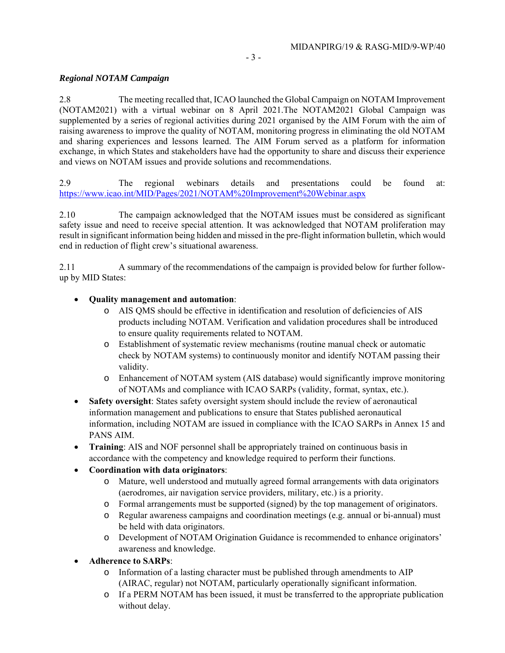### *Regional NOTAM Campaign*

2.8 The meeting recalled that, ICAO launched the Global Campaign on NOTAM Improvement (NOTAM2021) with a virtual webinar on 8 April 2021.The NOTAM2021 Global Campaign was supplemented by a series of regional activities during 2021 organised by the AIM Forum with the aim of raising awareness to improve the quality of NOTAM, monitoring progress in eliminating the old NOTAM and sharing experiences and lessons learned. The AIM Forum served as a platform for information exchange, in which States and stakeholders have had the opportunity to share and discuss their experience and views on NOTAM issues and provide solutions and recommendations.

2.9 The regional webinars details and presentations could be found at: https://www.icao.int/MID/Pages/2021/NOTAM%20Improvement%20Webinar.aspx

2.10 The campaign acknowledged that the NOTAM issues must be considered as significant safety issue and need to receive special attention. It was acknowledged that NOTAM proliferation may result in significant information being hidden and missed in the pre-flight information bulletin, which would end in reduction of flight crew's situational awareness.

2.11 A summary of the recommendations of the campaign is provided below for further followup by MID States:

### **Quality management and automation**:

- o AIS QMS should be effective in identification and resolution of deficiencies of AIS products including NOTAM. Verification and validation procedures shall be introduced to ensure quality requirements related to NOTAM.
- o Establishment of systematic review mechanisms (routine manual check or automatic check by NOTAM systems) to continuously monitor and identify NOTAM passing their validity.
- o Enhancement of NOTAM system (AIS database) would significantly improve monitoring of NOTAMs and compliance with ICAO SARPs (validity, format, syntax, etc.).
- **Safety oversight**: States safety oversight system should include the review of aeronautical information management and publications to ensure that States published aeronautical information, including NOTAM are issued in compliance with the ICAO SARPs in Annex 15 and PANS AIM.
- **Training**: AIS and NOF personnel shall be appropriately trained on continuous basis in accordance with the competency and knowledge required to perform their functions.

## **Coordination with data originators**:

- o Mature, well understood and mutually agreed formal arrangements with data originators (aerodromes, air navigation service providers, military, etc.) is a priority.
- o Formal arrangements must be supported (signed) by the top management of originators.
- o Regular awareness campaigns and coordination meetings (e.g. annual or bi-annual) must be held with data originators.
- o Development of NOTAM Origination Guidance is recommended to enhance originators' awareness and knowledge.
- **Adherence to SARPs**:
	- o Information of a lasting character must be published through amendments to AIP (AIRAC, regular) not NOTAM, particularly operationally significant information.
	- o If a PERM NOTAM has been issued, it must be transferred to the appropriate publication without delay.